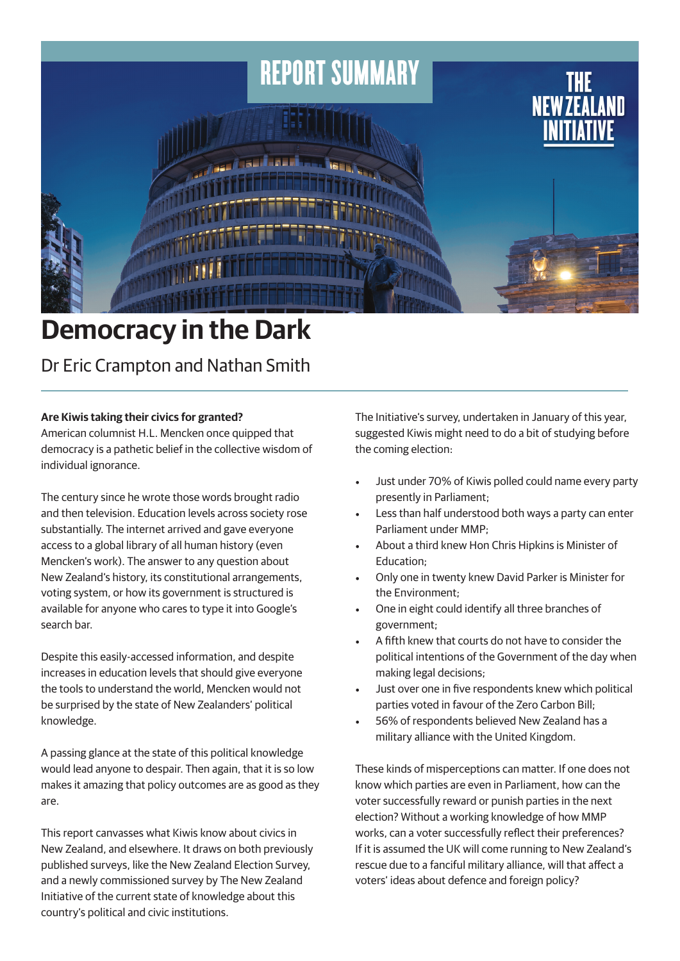

# **Democracy in the Dark**

Dr Eric Crampton and Nathan Smith

## **Are Kiwis taking their civics for granted?**

American columnist H.L. Mencken once quipped that democracy is a pathetic belief in the collective wisdom of individual ignorance.

The century since he wrote those words brought radio and then television. Education levels across society rose substantially. The internet arrived and gave everyone access to a global library of all human history (even Mencken's work). The answer to any question about New Zealand's history, its constitutional arrangements, voting system, or how its government is structured is available for anyone who cares to type it into Google's search bar.

Despite this easily-accessed information, and despite increases in education levels that should give everyone the tools to understand the world, Mencken would not be surprised by the state of New Zealanders' political knowledge.

A passing glance at the state of this political knowledge would lead anyone to despair. Then again, that it is so low makes it amazing that policy outcomes are as good as they are.

This report canvasses what Kiwis know about civics in New Zealand, and elsewhere. It draws on both previously published surveys, like the New Zealand Election Survey, and a newly commissioned survey by The New Zealand Initiative of the current state of knowledge about this country's political and civic institutions.

The Initiative's survey, undertaken in January of this year, suggested Kiwis might need to do a bit of studying before the coming election:

- Just under 70% of Kiwis polled could name every party presently in Parliament;
- Less than half understood both ways a party can enter Parliament under MMP;
- About a third knew Hon Chris Hipkins is Minister of Education;
- Only one in twenty knew David Parker is Minister for the Environment;
- One in eight could identify all three branches of government;
- A fifth knew that courts do not have to consider the political intentions of the Government of the day when making legal decisions;
- Just over one in five respondents knew which political parties voted in favour of the Zero Carbon Bill;
- 56% of respondents believed New Zealand has a military alliance with the United Kingdom.

These kinds of misperceptions can matter. If one does not know which parties are even in Parliament, how can the voter successfully reward or punish parties in the next election? Without a working knowledge of how MMP works, can a voter successfully reflect their preferences? If it is assumed the UK will come running to New Zealand's rescue due to a fanciful military alliance, will that affect a voters' ideas about defence and foreign policy?